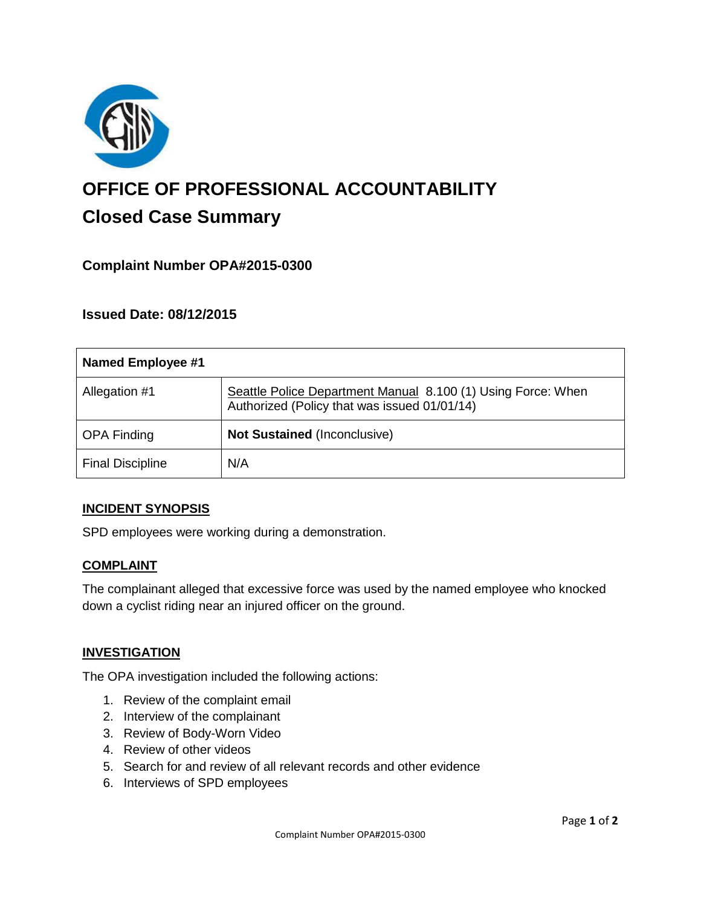

# **OFFICE OF PROFESSIONAL ACCOUNTABILITY Closed Case Summary**

# **Complaint Number OPA#2015-0300**

# **Issued Date: 08/12/2015**

| <b>Named Employee #1</b> |                                                                                                              |
|--------------------------|--------------------------------------------------------------------------------------------------------------|
| Allegation #1            | Seattle Police Department Manual 8.100 (1) Using Force: When<br>Authorized (Policy that was issued 01/01/14) |
| <b>OPA Finding</b>       | <b>Not Sustained (Inconclusive)</b>                                                                          |
| <b>Final Discipline</b>  | N/A                                                                                                          |

## **INCIDENT SYNOPSIS**

SPD employees were working during a demonstration.

## **COMPLAINT**

The complainant alleged that excessive force was used by the named employee who knocked down a cyclist riding near an injured officer on the ground.

#### **INVESTIGATION**

The OPA investigation included the following actions:

- 1. Review of the complaint email
- 2. Interview of the complainant
- 3. Review of Body-Worn Video
- 4. Review of other videos
- 5. Search for and review of all relevant records and other evidence
- 6. Interviews of SPD employees